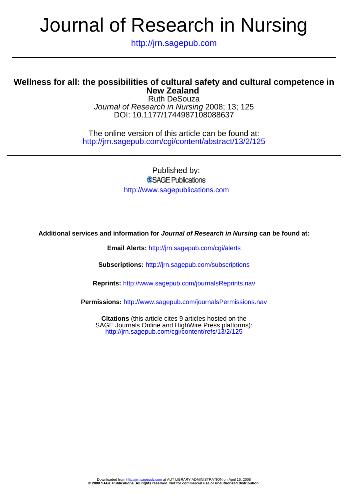http://jrn.sagepub.com

### **New Zealand Wellness for all: the possibilities of cultural safety and cultural competence in**

DOI: 10.1177/1744987108088637 Journal of Research in Nursing 2008; 13; 125 Ruth DeSouza

http://jrn.sagepub.com/cgi/content/abstract/13/2/125 The online version of this article can be found at:

> Published by: SSAGE Publications http://www.sagepublications.com

**Additional services and information for Journal of Research in Nursing can be found at:**

**Email Alerts:** <http://jrn.sagepub.com/cgi/alerts>

**Subscriptions:** <http://jrn.sagepub.com/subscriptions>

**Reprints:** <http://www.sagepub.com/journalsReprints.nav>

**Permissions:** <http://www.sagepub.com/journalsPermissions.nav>

<http://jrn.sagepub.com/cgi/content/refs/13/2/125> SAGE Journals Online and HighWire Press platforms): **Citations** (this article cites 9 articles hosted on the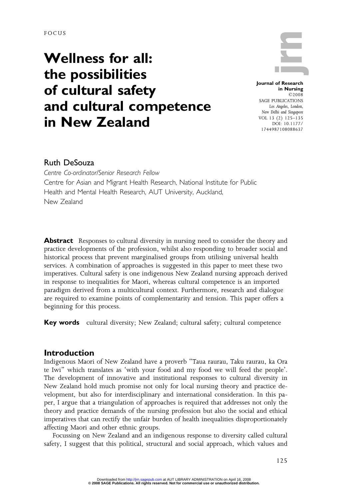FOCUS

## Wellness for all: the possibilities of cultural safety and cultural competence in New Zealand

Journal of Research in Nursing ©2008 SAGE PUBLICATIONS Los Angeles, London, New Delhi and Singapore VOL 13 (2) 125–135 DOI: 10.1177/ 1744987108088637

### **Ruth DeSouza**

Centre Co-ordinator/Senior Research Fellow Centre for Asian and Migrant Health Research, National Institute for Public Health and Mental Health Research, AUT University, Auckland, New Zealand

Abstract Responses to cultural diversity in nursing need to consider the theory and practice developments of the profession, whilst also responding to broader social and historical process that prevent marginalised groups from utilising universal health services. A combination of approaches is suggested in this paper to meet these two imperatives. Cultural safety is one indigenous New Zealand nursing approach derived in response to inequalities for Maori, whereas cultural competence is an imported paradigm derived from a multicultural context. Furthermore, research and dialogue are required to examine points of complementarity and tension. This paper offers a beginning for this process.

Key words cultural diversity; New Zealand; cultural safety; cultural competence

#### Introduction

Indigenous Maori of New Zealand have a proverb "Taua raurau, Taku raurau, ka Ora te Iwi" which translates as 'with your food and my food we will feed the people'. The development of innovative and institutional responses to cultural diversity in New Zealand hold much promise not only for local nursing theory and practice development, but also for interdisciplinary and international consideration. In this paper, I argue that a triangulation of approaches is required that addresses not only the theory and practice demands of the nursing profession but also the social and ethical imperatives that can rectify the unfair burden of health inequalities disproportionately affecting Maori and other ethnic groups.

Focussing on New Zealand and an indigenous response to diversity called cultural safety, I suggest that this political, structural and social approach, which values and

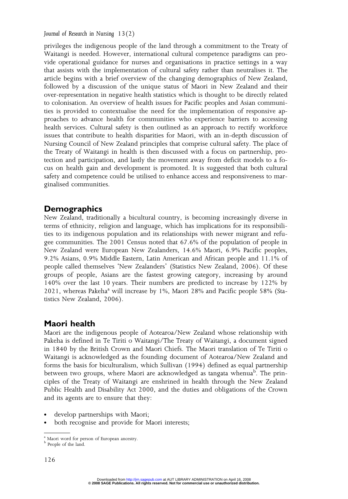privileges the indigenous people of the land through a commitment to the Treaty of Waitangi is needed. However, international cultural competence paradigms can provide operational guidance for nurses and organisations in practice settings in a way that assists with the implementation of cultural safety rather than neutralises it. The article begins with a brief overview of the changing demographics of New Zealand, followed by a discussion of the unique status of Maori in New Zealand and their over-representation in negative health statistics which is thought to be directly related to colonisation. An overview of health issues for Pacific peoples and Asian communities is provided to contextualise the need for the implementation of responsive approaches to advance health for communities who experience barriers to accessing health services. Cultural safety is then outlined as an approach to rectify workforce issues that contribute to health disparities for Maori, with an in-depth discussion of Nursing Council of New Zealand principles that comprise cultural safety. The place of the Treaty of Waitangi in health is then discussed with a focus on partnership, protection and participation, and lastly the movement away from deficit models to a focus on health gain and development is promoted. It is suggested that both cultural safety and competence could be utilised to enhance access and responsiveness to marginalised communities.

#### **Demographics**

New Zealand, traditionally a bicultural country, is becoming increasingly diverse in terms of ethnicity, religion and language, which has implications for its responsibilities to its indigenous population and its relationships with newer migrant and refugee communities. The 2001 Census noted that 67.6% of the population of people in New Zealand were European New Zealanders, 14.6% Maori, 6.9% Pacific peoples, 9.2% Asians, 0.9% Middle Eastern, Latin American and African people and 11.1% of people called themselves 'New Zealanders' (Statistics New Zealand, 2006). Of these groups of people, Asians are the fastest growing category, increasing by around 140% over the last 10 years. Their numbers are predicted to increase by 122% by  $2021$ , whereas Pakeha<sup>a</sup> will increase by 1%, Maori 28% and Pacific people 58% (Statistics New Zealand, 2006).

#### Maori health

Maori are the indigenous people of Aotearoa/New Zealand whose relationship with Pakeha is defined in Te Tiriti o Waitangi/The Treaty of Waitangi, a document signed in 1840 by the British Crown and Maori Chiefs. The Maori translation of Te Tiriti o Waitangi is acknowledged as the founding document of Aotearoa/New Zealand and forms the basis for biculturalism, which Sullivan (1994) defined as equal partnership between two groups, where Maori are acknowledged as tangata whenua<sup>b</sup>. The principles of the Treaty of Waitangi are enshrined in health through the New Zealand Public Health and Disability Act 2000, and the duties and obligations of the Crown and its agents are to ensure that they:

- develop partnerships with Maori;
- both recognise and provide for Maori interests;

 $^{\rm a}$  Maori word for person of European ancestry.  $^{\rm b}$  People of the land.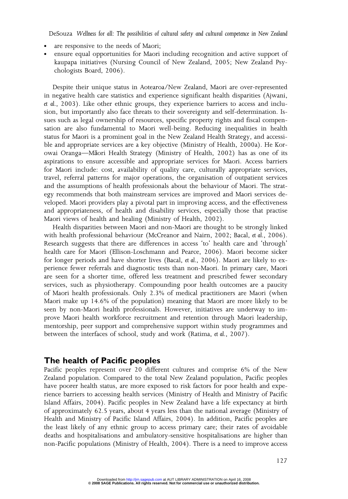- are responsive to the needs of Maori;
- ensure equal opportunities for Maori including recognition and active support of kaupapa initiatives (Nursing Council of New Zealand, 2005; New Zealand Psychologists Board, 2006).

Despite their unique status in Aotearoa/New Zealand, Maori are over-represented in negative health care statistics and experience significant health disparities (Ajwani, et al., 2003). Like other ethnic groups, they experience barriers to access and inclusion, but importantly also face threats to their sovereignty and self-determination. Issues such as legal ownership of resources, specific property rights and fiscal compensation are also fundamental to Maori well-being. Reducing inequalities in health status for Maori is a prominent goal in the New Zealand Health Strategy, and accessible and appropriate services are a key objective (Ministry of Health, 2000a). He Korowai Oranga—Māori Health Strategy (Ministry of Health, 2002) has as one of its aspirations to ensure accessible and appropriate services for Maori. Access barriers for Maori include: cost, availability of quality care, culturally appropriate services, travel, referral patterns for major operations, the organisation of outpatient services and the assumptions of health professionals about the behaviour of Maori. The strategy recommends that both mainstream services are improved and Maori services developed. Maori providers play a pivotal part in improving access, and the effectiveness and appropriateness, of health and disability services, especially those that practise Maori views of health and healing (Ministry of Health, 2002).

Health disparities between Maori and non-Maori are thought to be strongly linked with health professional behaviour (McCreanor and Nairn, 2002; Bacal, et al., 2006). Research suggests that there are differences in access 'to' health care and 'through' health care for Maori (Ellison-Loschmann and Pearce, 2006). Maori become sicker for longer periods and have shorter lives (Bacal, et al., 2006). Maori are likely to experience fewer referrals and diagnostic tests than non-Maori. In primary care, Maori are seen for a shorter time, offered less treatment and prescribed fewer secondary services, such as physiotherapy. Compounding poor health outcomes are a paucity of Maori health professionals. Only 2.3% of medical practitioners are Maori (when Maori make up 14.6% of the population) meaning that Maori are more likely to be seen by non-Maori health professionals. However, initiatives are underway to improve Maori health workforce recruitment and retention through Maori leadership, mentorship, peer support and comprehensive support within study programmes and between the interfaces of school, study and work (Ratima, et al., 2007).

#### The health of Pacific peoples

Pacific peoples represent over 20 different cultures and comprise 6% of the New Zealand population. Compared to the total New Zealand population, Pacific peoples have poorer health status, are more exposed to risk factors for poor health and experience barriers to accessing health services (Ministry of Health and Ministry of Pacific Island Affairs, 2004). Pacific peoples in New Zealand have a life expectancy at birth of approximately 62.5 years, about 4 years less than the national average (Ministry of Health and Ministry of Pacific Island Affairs, 2004). In addition, Pacific peoples are the least likely of any ethnic group to access primary care; their rates of avoidable deaths and hospitalisations and ambulatory-sensitive hospitalisations are higher than non-Pacific populations (Ministry of Health, 2004). There is a need to improve access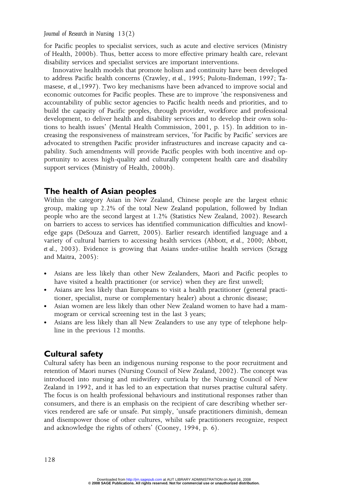for Pacific peoples to specialist services, such as acute and elective services (Ministry of Health, 2000b). Thus, better access to more effective primary health care, relevant disability services and specialist services are important interventions.

Innovative health models that promote holism and continuity have been developed to address Pacific health concerns (Crawley, et al., 1995; Pulotu-Endeman, 1997; Tamasese, et al.,1997). Two key mechanisms have been advanced to improve social and economic outcomes for Pacific peoples. These are to improve 'the responsiveness and accountability of public sector agencies to Pacific health needs and priorities, and to build the capacity of Pacific peoples, through provider, workforce and professional development, to deliver health and disability services and to develop their own solutions to health issues' (Mental Health Commission, 2001, p. 15). In addition to increasing the responsiveness of mainstream services, 'for Pacific by Pacific' services are advocated to strengthen Pacific provider infrastructures and increase capacity and capability. Such amendments will provide Pacific peoples with both incentive and opportunity to access high-quality and culturally competent health care and disability support services (Ministry of Health, 2000b).

#### The health of Asian peoples

Within the category Asian in New Zealand, Chinese people are the largest ethnic group, making up 2.2% of the total New Zealand population, followed by Indian people who are the second largest at 1.2% (Statistics New Zealand, 2002). Research on barriers to access to services has identified communication difficulties and knowledge gaps (DeSouza and Garrett, 2005). Earlier research identified language and a variety of cultural barriers to accessing health services (Abbott, et al., 2000; Abbott, et al., 2003). Evidence is growing that Asians under-utilise health services (Scragg and Maitra, 2005):

- Asians are less likely than other New Zealanders, Maori and Pacific peoples to have visited a health practitioner (or service) when they are first unwell;
- Asians are less likely than Europeans to visit a health practitioner (general practitioner, specialist, nurse or complementary healer) about a chronic disease;
- Asian women are less likely than other New Zealand women to have had a mammogram or cervical screening test in the last 3 years;
- Asians are less likely than all New Zealanders to use any type of telephone helpline in the previous 12 months.

#### Cultural safety

Cultural safety has been an indigenous nursing response to the poor recruitment and retention of Maori nurses (Nursing Council of New Zealand, 2002). The concept was introduced into nursing and midwifery curricula by the Nursing Council of New Zealand in 1992, and it has led to an expectation that nurses practise cultural safety. The focus is on health professional behaviours and institutional responses rather than consumers, and there is an emphasis on the recipient of care describing whether services rendered are safe or unsafe. Put simply, 'unsafe practitioners diminish, demean and disempower those of other cultures, whilst safe practitioners recognize, respect and acknowledge the rights of others' (Cooney, 1994, p. 6).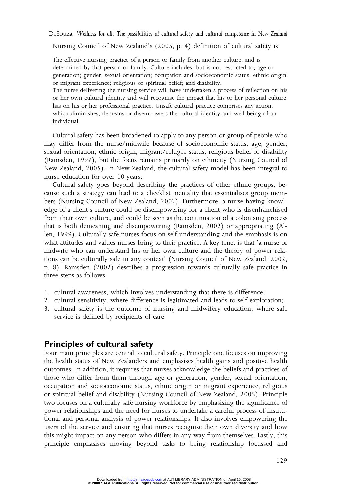Nursing Council of New Zealand's (2005, p. 4) definition of cultural safety is:

The effective nursing practice of a person or family from another culture, and is determined by that person or family. Culture includes, but is not restricted to, age or generation; gender; sexual orientation; occupation and socioeconomic status; ethnic origin or migrant experience; religious or spiritual belief; and disability.

The nurse delivering the nursing service will have undertaken a process of reflection on his or her own cultural identity and will recognise the impact that his or her personal culture has on his or her professional practice. Unsafe cultural practice comprises any action, which diminishes, demeans or disempowers the cultural identity and well-being of an individual.

Cultural safety has been broadened to apply to any person or group of people who may differ from the nurse/midwife because of socioeconomic status, age, gender, sexual orientation, ethnic origin, migrant/refugee status, religious belief or disability (Ramsden, 1997), but the focus remains primarily on ethnicity (Nursing Council of New Zealand, 2005). In New Zealand, the cultural safety model has been integral to nurse education for over 10 years.

Cultural safety goes beyond describing the practices of other ethnic groups, because such a strategy can lead to a checklist mentality that essentialises group members (Nursing Council of New Zealand, 2002). Furthermore, a nurse having knowledge of a client's culture could be disempowering for a client who is disenfranchised from their own culture, and could be seen as the continuation of a colonising process that is both demeaning and disempowering (Ramsden, 2002) or appropriating (Allen, 1999). Culturally safe nurses focus on self-understanding and the emphasis is on what attitudes and values nurses bring to their practice. A key tenet is that 'a nurse or midwife who can understand his or her own culture and the theory of power relations can be culturally safe in any context' (Nursing Council of New Zealand, 2002, p. 8). Ramsden (2002) describes a progression towards culturally safe practice in three steps as follows:

- 1. cultural awareness, which involves understanding that there is difference;
- 2. cultural sensitivity, where difference is legitimated and leads to self-exploration;
- 3. cultural safety is the outcome of nursing and midwifery education, where safe service is defined by recipients of care.

#### Principles of cultural safety

Four main principles are central to cultural safety. Principle one focuses on improving the health status of New Zealanders and emphasises health gains and positive health outcomes. In addition, it requires that nurses acknowledge the beliefs and practices of those who differ from them through age or generation, gender, sexual orientation, occupation and socioeconomic status, ethnic origin or migrant experience, religious or spiritual belief and disability (Nursing Council of New Zealand, 2005). Principle two focuses on a culturally safe nursing workforce by emphasising the significance of power relationships and the need for nurses to undertake a careful process of institutional and personal analysis of power relationships. It also involves empowering the users of the service and ensuring that nurses recognise their own diversity and how this might impact on any person who differs in any way from themselves. Lastly, this principle emphasises moving beyond tasks to being relationship focussed and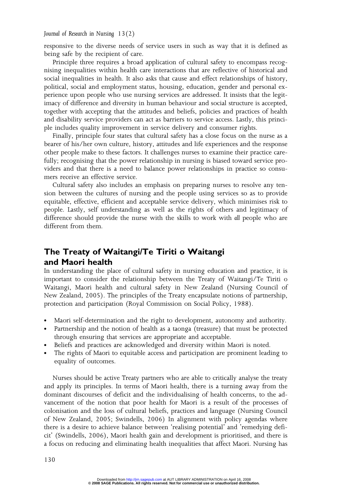responsive to the diverse needs of service users in such as way that it is defined as being safe by the recipient of care.

Principle three requires a broad application of cultural safety to encompass recognising inequalities within health care interactions that are reflective of historical and social inequalities in health. It also asks that cause and effect relationships of history, political, social and employment status, housing, education, gender and personal experience upon people who use nursing services are addressed. It insists that the legitimacy of difference and diversity in human behaviour and social structure is accepted, together with accepting that the attitudes and beliefs, policies and practices of health and disability service providers can act as barriers to service access. Lastly, this principle includes quality improvement in service delivery and consumer rights.

Finally, principle four states that cultural safety has a close focus on the nurse as a bearer of his/her own culture, history, attitudes and life experiences and the response other people make to these factors. It challenges nurses to examine their practice carefully; recognising that the power relationship in nursing is biased toward service providers and that there is a need to balance power relationships in practice so consumers receive an effective service.

Cultural safety also includes an emphasis on preparing nurses to resolve any tension between the cultures of nursing and the people using services so as to provide equitable, effective, efficient and acceptable service delivery, which minimises risk to people. Lastly, self understanding as well as the rights of others and legitimacy of difference should provide the nurse with the skills to work with all people who are different from them.

### The Treaty of Waitangi/Te Tiriti o Waitangi and Maori health

In understanding the place of cultural safety in nursing education and practice, it is important to consider the relationship between the Treaty of Waitangi/Te Tiriti o Waitangi, Maori health and cultural safety in New Zealand (Nursing Council of New Zealand, 2005). The principles of the Treaty encapsulate notions of partnership, protection and participation (Royal Commission on Social Policy, 1988).

- Maori self-determination and the right to development, autonomy and authority.
- Partnership and the notion of health as a taonga (treasure) that must be protected through ensuring that services are appropriate and acceptable.
- Beliefs and practices are acknowledged and diversity within Maori is noted.
- The rights of Maori to equitable access and participation are prominent leading to equality of outcomes.

Nurses should be active Treaty partners who are able to critically analyse the treaty and apply its principles. In terms of Maori health, there is a turning away from the dominant discourses of deficit and the individualising of health concerns, to the advancement of the notion that poor health for Maori is a result of the processes of colonisation and the loss of cultural beliefs, practices and language (Nursing Council of New Zealand, 2005; Swindells, 2006) In alignment with policy agendas where there is a desire to achieve balance between 'realising potential' and 'remedying deficit' (Swindells, 2006), Maori health gain and development is prioritised, and there is a focus on reducing and eliminating health inequalities that affect Maori. Nursing has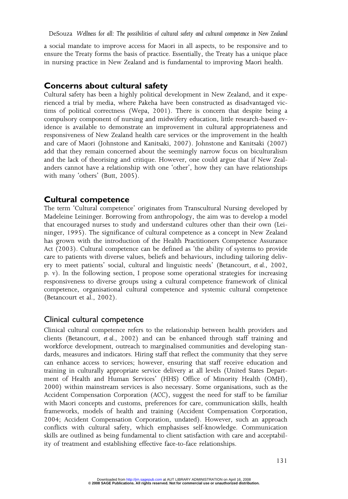a social mandate to improve access for Maori in all aspects, to be responsive and to ensure the Treaty forms the basis of practice. Essentially, the Treaty has a unique place in nursing practice in New Zealand and is fundamental to improving Maori health.

#### Concerns about cultural safety

Cultural safety has been a highly political development in New Zealand, and it experienced a trial by media, where Pakeha have been constructed as disadvantaged victims of political correctness (Wepa, 2001). There is concern that despite being a compulsory component of nursing and midwifery education, little research-based evidence is available to demonstrate an improvement in cultural appropriateness and responsiveness of New Zealand health care services or the improvement in the health and care of Maori (Johnstone and Kanitsaki, 2007). Johnstone and Kanitsaki (2007) add that they remain concerned about the seemingly narrow focus on biculturalism and the lack of theorising and critique. However, one could argue that if New Zealanders cannot have a relationship with one 'other', how they can have relationships with many 'others' (Butt, 2005).

#### Cultural competence

The term 'Cultural competence' originates from Transcultural Nursing developed by Madeleine Leininger. Borrowing from anthropology, the aim was to develop a model that encouraged nurses to study and understand cultures other than their own (Leininger, 1995). The significance of cultural competence as a concept in New Zealand has grown with the introduction of the Health Practitioners Competence Assurance Act (2003). Cultural competence can be defined as 'the ability of systems to provide care to patients with diverse values, beliefs and behaviours, including tailoring delivery to meet patients' social, cultural and linguistic needs' (Betancourt, et al., 2002, p. v). In the following section, I propose some operational strategies for increasing responsiveness to diverse groups using a cultural competence framework of clinical competence, organisational cultural competence and systemic cultural competence (Betancourt et al., 2002).

Clinical cultural competence Clinical cultural competence refers to the relationship between health providers and clients (Betancourt, et al., 2002) and can be enhanced through staff training and workforce development, outreach to marginalised communities and developing standards, measures and indicators. Hiring staff that reflect the community that they serve can enhance access to services; however, ensuring that staff receive education and training in culturally appropriate service delivery at all levels (United States Department of Health and Human Services' (HHS) Office of Minority Health (OMH), 2000) within mainstream services is also necessary. Some organisations, such as the Accident Compensation Corporation (ACC), suggest the need for staff to be familiar with Maori concepts and customs, preferences for care, communication skills, health frameworks, models of health and training (Accident Compensation Corporation, 2004; Accident Compensation Corporation, undated). However, such an approach conflicts with cultural safety, which emphasises self-knowledge. Communication skills are outlined as being fundamental to client satisfaction with care and acceptability of treatment and establishing effective face-to-face relationships.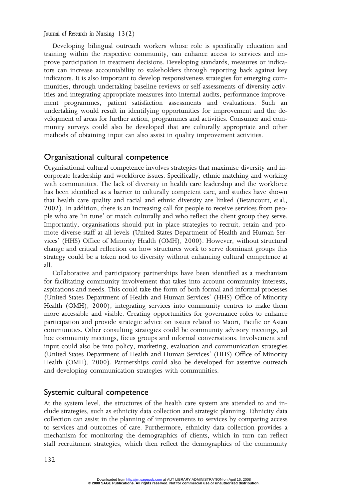Developing bilingual outreach workers whose role is specifically education and training within the respective community, can enhance access to services and improve participation in treatment decisions. Developing standards, measures or indicators can increase accountability to stakeholders through reporting back against key indicators. It is also important to develop responsiveness strategies for emerging communities, through undertaking baseline reviews or self-assessments of diversity activities and integrating appropriate measures into internal audits, performance improvement programmes, patient satisfaction assessments and evaluations. Such an undertaking would result in identifying opportunities for improvement and the development of areas for further action, programmes and activities. Consumer and community surveys could also be developed that are culturally appropriate and other methods of obtaining input can also assist in quality improvement activities.

Organisational cultural competence Organisational cultural competence involves strategies that maximise diversity and incorporate leadership and workforce issues. Specifically, ethnic matching and working with communities. The lack of diversity in health care leadership and the workforce has been identified as a barrier to culturally competent care, and studies have shown that health care quality and racial and ethnic diversity are linked (Betancourt, et al., 2002). In addition, there is an increasing call for people to receive services from people who are 'in tune' or match culturally and who reflect the client group they serve. Importantly, organisations should put in place strategies to recruit, retain and promote diverse staff at all levels (United States Department of Health and Human Services' (HHS) Office of Minority Health (OMH), 2000). However, without structural change and critical reflection on how structures work to serve dominant groups this strategy could be a token nod to diversity without enhancing cultural competence at all.

Collaborative and participatory partnerships have been identified as a mechanism for facilitating community involvement that takes into account community interests, aspirations and needs. This could take the form of both formal and informal processes (United States Department of Health and Human Services' (HHS) Office of Minority Health (OMH), 2000), integrating services into community centres to make them more accessible and visible. Creating opportunities for governance roles to enhance participation and provide strategic advice on issues related to Maori, Pacific or Asian communities. Other consulting strategies could be community advisory meetings, ad hoc community meetings, focus groups and informal conversations. Involvement and input could also be into policy, marketing, evaluation and communication strategies (United States Department of Health and Human Services' (HHS) Office of Minority Health (OMH), 2000). Partnerships could also be developed for assertive outreach and developing communication strategies with communities.

Systemic cultural competence<br>At the system level, the structures of the health care system are attended to and include strategies, such as ethnicity data collection and strategic planning. Ethnicity data collection can assist in the planning of improvements to services by comparing access to services and outcomes of care. Furthermore, ethnicity data collection provides a mechanism for monitoring the demographics of clients, which in turn can reflect staff recruitment strategies, which then reflect the demographics of the community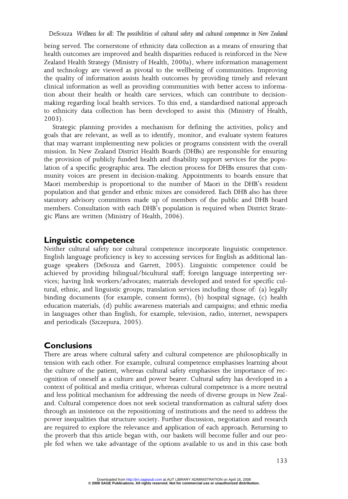being served. The cornerstone of ethnicity data collection as a means of ensuring that health outcomes are improved and health disparities reduced is reinforced in the New Zealand Health Strategy (Ministry of Health, 2000a), where information management and technology are viewed as pivotal to the wellbeing of communities. Improving the quality of information assists health outcomes by providing timely and relevant clinical information as well as providing communities with better access to information about their health or health care services, which can contribute to decisionmaking regarding local health services. To this end, a standardised national approach to ethnicity data collection has been developed to assist this (Ministry of Health, 2003).

Strategic planning provides a mechanism for defining the activities, policy and goals that are relevant, as well as to identify, monitor, and evaluate system features that may warrant implementing new policies or programs consistent with the overall mission. In New Zealand District Health Boards (DHBs) are responsible for ensuring the provision of publicly funded health and disability support services for the population of a specific geographic area. The election process for DHBs ensures that community voices are present in decision-making. Appointments to boards ensure that Maori membership is proportional to the number of Maori in the DHB's resident population and that gender and ethnic mixes are considered. Each DHB also has three statutory advisory committees made up of members of the public and DHB board members. Consultation with each DHB's population is required when District Strategic Plans are written (Ministry of Health, 2006).

#### Linguistic competence

Neither cultural safety nor cultural competence incorporate linguistic competence. English language proficiency is key to accessing services for English as additional language speakers (DeSouza and Garrett, 2005). Linguistic competence could be achieved by providing bilingual/bicultural staff; foreign language interpreting services; having link workers/advocates; materials developed and tested for specific cultural, ethnic, and linguistic groups; translation services including those of: (a) legally binding documents (for example, consent forms), (b) hospital signage, (c) health education materials, (d) public awareness materials and campaigns; and ethnic media in languages other than English, for example, television, radio, internet, newspapers and periodicals (Szczepura, 2005).

#### **Conclusions**

There are areas where cultural safety and cultural competence are philosophically in tension with each other. For example, cultural competence emphasises learning about the culture of the patient, whereas cultural safety emphasises the importance of recognition of oneself as a culture and power bearer. Cultural safety has developed in a context of political and media critique, whereas cultural competence is a more neutral and less political mechanism for addressing the needs of diverse groups in New Zealand. Cultural competence does not seek societal transformation as cultural safety does through an insistence on the repositioning of institutions and the need to address the power inequalities that structure society. Further discussion, negotiation and research are required to explore the relevance and application of each approach. Returning to the proverb that this article began with, our baskets will become fuller and our people fed when we take advantage of the options available to us and in this case both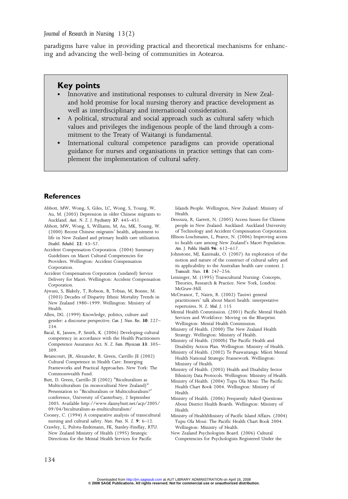paradigms have value in providing practical and theoretical mechanisms for enhancing and advancing the well-being of communities in Aotearoa.

#### Key points

- Innovative and institutional responses to cultural diversity in New Zealand hold promise for local nursing therory and practice development as well as interdisciplinary and international consideration.
- A political, structural and social approach such as cultural safety which values and privileges the indigenous people of the land through a commitment to the Treaty of Waitangi is fundamental.
- International cultural competence paradigms can provide operational guidance for nurses and organisations in practice settings that can complement the implementation of cultural safety.

#### **References**

- Abbott, MW, Wong, S, Giles, LC, Wong, S, Young, W, Au, M. (2003) Depression in older Chinese migrants to Auckland. Aust. N. Z. J. Psychiatry 37: 445–451.
- Abbott, MW, Wong, S, Williams, M, Au, MK, Young, W. (2000) Recent Chinese migrants' health, adjustment to life in New Zealand and primary health care utilization. Disabil. Rehabil. 22: 43–57.
- Accident Compensation Corporation. (2004) Summary Guidelines on Maori Cultural Competencies for Providers. Wellington: Accident Compensation Corporation.
- Accident Compensation Corporation (undated) Service Delivery for Maori. Wellington: Accident Compensation **Corporation**
- Ajwani, S, Blakely, T, Robson, B, Tobias, M, Bonne, M. (2003) Decades of Disparity Ethnic Mortality Trends in New Zealand 1980–1999. Wellington: Ministry of Health.
- Allen, DG. (1999) Knowledge, politics, culture and gender: a discourse perspective. Can. J. Nurs. Res. 30: 227– 234.
- Bacal, K, Jansen, P, Smith, K. (2006) Developing cultural competency in accordance with the Health Practitioners Competence Assurance Act. N. Z. Fam. Physician 33: 305– 309.
- Betancourt, JR, Alexander, R. Green, Carrillo JE (2002) Cultural Competence in Health Care: Emerging Frameworks and Practical Approaches. New York: The Commonwealth Fund.
- Butt, D. Green, Carrillo JE (2002) "Biculturalism as Multiculturalism (in monocultural New Zealand)" Presentation to "Biculturalism or Multiculturalism?" conference, University of Canterbury, 2 September 2005. Available http://www.dannybutt.net/acp/2005/ 09/04/biculturalism-as-multiculturalism/
- Cooney, C. (1994) A comparative analysis of transcultural nursing and cultural safety. Nurs. Prax. N. Z. 9: 6–12.
- Crawley, L, Pulotu-Endemann, FK, Stanley-Findlay, RTU. New Zealand Ministry of Health (1995) Strategic Directions for the Mental Health Services for Pacific

Islands People. Wellington, New Zealand: Ministry of Health.

- Desouza, R, Garrett, N. (2005) Access Issues for Chinese people in New Zealand. Auckland: Auckland University of Technology and Accident Compensation Corporation.
- Ellison-Loschmann, L, Pearce, N. (2006) Improving access to health care among New Zealand's Maori Population. Am. J. Public Health 96: 612–617.
- Johnstone, MJ, Kanitsaki, O. (2007) An exploration of the notion and nature of the construct of cultural safety and its applicability to the Australian health care context. J. Transcult. Nurs. 18: 247–256.
- Leininger, M. (1995) Transcultural Nursing: Concepts, Theories, Research & Practice. New York, London: McGraw-Hill.
- McCreanor, T, Nairn, R. (2002) Tauiwi general practitioners' talk about Maori health: interpretative repertoires. N. Z. Med. J. 115
- Mental Health Commission. (2001) Pacific Mental Health Services and Workforce: Moving on the Blueprint. Wellington: Mental Health Commission.
- Ministry of Health. (2000) The New Zealand Health Strategy. Wellington: Ministry of Health.
- Ministry of Health. (2000b) The Pacific Health and Disability Action Plan. Wellington: Ministry of Health.
- Ministry of Health. (2002) Te Puawaitanga: Mäori Mental Health National Strategic Framework. Wellington: Ministry of Health.
- Ministry of Health. (2003) Health and Disability Sector Ethnicity Data Protocols. Wellington: Ministry of Health.
- Ministry of Health. (2004) Tupu Ola Moui: The Pacific Health Chart Book 2004. Wellington: Ministry of Health.
- Ministry of Health. (2006) Frequently Asked Questions About District Health Boards. Wellington: Ministry of Health.
- Ministry of HealthMinistry of Pacific Island Affairs. (2004) Tupu Ola Moui: The Pacific Health Chart Book 2004. Wellington: Ministry of Health.
- New Zealand Psychologists Board. (2006) Cultural Competencies for Psychologists Registered Under the